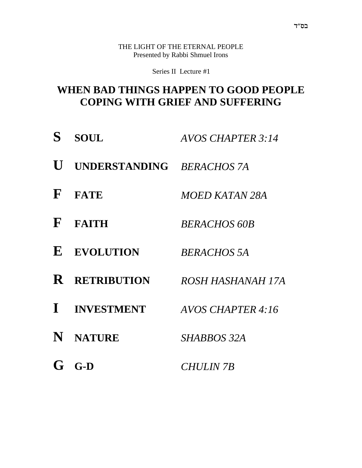THE LIGHT OF THE ETERNAL PEOPLE Presented by Rabbi Shmuel Irons

Series II Lecture #1

#### **WHEN BAD THINGS HAPPEN TO GOOD PEOPLE COPING WITH GRIEF AND SUFFERING**

| S            | <b>SOUL</b>               | <b>AVOS CHAPTER 3:14</b> |
|--------------|---------------------------|--------------------------|
| U            | UNDERSTANDING BERACHOS 7A |                          |
| $\mathbf{F}$ | <b>FATE</b>               | <i>MOED KATAN 28A</i>    |
| $\mathbf{F}$ | <b>FAITH</b>              | <b>BERACHOS 60B</b>      |
| $\bf{E}$     | <b>EVOLUTION</b>          | <b>BERACHOS 5A</b>       |
| $\mathbf R$  | <b>RETRIBUTION</b>        | ROSH HASHANAH 17A        |
|              | I INVESTMENT              | AVOS CHAPTER 4:16        |
|              | N NATURE                  | SHABBOS 32A              |
| G            | $G-D$                     | <b>CHULIN 7B</b>         |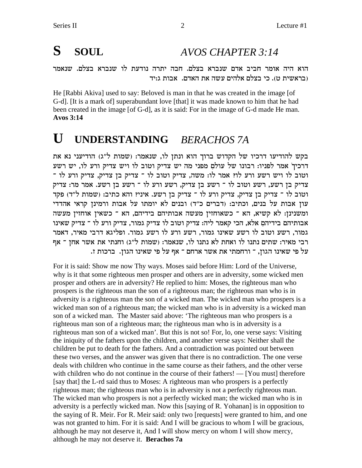# **S SOUL** *AVOS CHAPTER 3:14*

הוא היה אומר חביב אדם שנברא בצלם. חבה יתרה נודעת לו שנברא בצלם. שנאמר בראשית ט). כי בצלם אלהים עשה את האדם. אבות ג:יד

He [Rabbi Akiva] used to say: Beloved is man in that he was created in the image [of G-d]. [It is a mark of] superabundant love [that] it was made known to him that he had been created in the image [of G-d], as it is said: For in the image of G-d made He man. **Avos 3:14**

#### **U UNDERSTANDING** *BERACHOS 7A*

בקש להודיעו דרכיו של הקדוש ברוך הוא ונתן לו, שנאמר: (שמות ל"ג) הודיעני נא את דרכיך אמר לפניו: רבונו של עולם מפני מה יש צדיק וטוב לו ויש צדיק ורע לו, יש רשע רטוב לו ויש רשע ורע לו? אמר לו: משה, צדיק וטוב לו ־ צדיק בן צדיק, צדיק ורע לו ־ צדיק בן רשע, רשע וטוב לו ־ רשע בן צדיק, רשע ורע לו ־ רשע בן רשע. אמר מר: צדיק וטוב לו ־ צדיק בן צדיק, צדיק ורע לו ־ צדיק בן רשע. איני? והא כתיב: (שמות ל"ד) פקד עון אבות על בנים, וכתיב: (דברים כ"ד) ובנים לא יומתו על אבות ורמינן קראי אהדדי ומשנינן: לא קשיא, הא ־ כשאוחזין מעשה אבותיהם בידיהם, הא ־ כשאין אוחזין מעשה אבותיהם בידיהם אלא, הכי קאמר ליה: צדיק וטוב לו צדיק גמור, צדיק ורע לו ־ צדיק שאינו גמור, רשע וטוב לו רשע שאינו גמור, רשע ורע לו רשע גמור. ופליגא דרבי מאיר, דאמר רבי מאיר: שתים נתנו לו ואחת לא נתנו לו, שנאמר: (שמות ל"ג) וחנתי את אשר אחז ־ אף .<br>על פי שאינו הגון, ־ ורחמתי את אשר ארחם ־ אף על פי שאינו הגון. ברכות ז

For it is said: Show me now Thy ways. Moses said before Him: Lord of the Universe, why is it that some righteous men prosper and others are in adversity, some wicked men prosper and others are in adversity? He replied to him: Moses, the righteous man who prospers is the righteous man the son of a righteous man; the righteous man who is in adversity is a righteous man the son of a wicked man. The wicked man who prospers is a wicked man son of a righteous man; the wicked man who is in adversity is a wicked man son of a wicked man. The Master said above: 'The righteous man who prospers is a righteous man son of a righteous man; the righteous man who is in adversity is a righteous man son of a wicked man'. But this is not so! For, lo, one verse says: Visiting the iniquity of the fathers upon the children, and another verse says: Neither shall the children be put to death for the fathers. And a contradiction was pointed out between these two verses, and the answer was given that there is no contradiction. The one verse deals with children who continue in the same course as their fathers, and the other verse with children who do not continue in the course of their fathers! — [You must] therefore [say that] the L-rd said thus to Moses: A righteous man who prospers is a perfectly righteous man; the righteous man who is in adversity is not a perfectly righteous man. The wicked man who prospers is not a perfectly wicked man; the wicked man who is in adversity is a perfectly wicked man. Now this [saying of R. Yohanan] is in opposition to the saying of R. Meir. For R. Meir said: only two [requests] were granted to him, and one was not granted to him. For it is said: And I will be gracious to whom I will be gracious, although he may not deserve it, And I will show mercy on whom I will show mercy, although he may not deserve it. **Berachos 7a**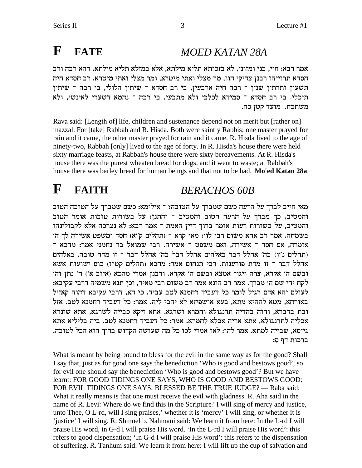# **F FATE** *MOED KATAN 28A*

אמר רבא: חיי, בני ומזוני, לא בזכותא תליא מילתא, אלא במזלא תליא מילתא. דהא רבה ורב חסדא תרוייהו רבנן צדיקי הוו, מר מצלי ואתי מיטרא, ומר מצלי ואתי מיטרא. רב חסדא חיה תשעין ותרתין שנין ־ רבה חיה ארבעין, בי רב חסדא ־ שיתין הלולי, בי רבה ־ שיתין תיכלי. בי רב חסדא <sup>-</sup> סמידא לכלבי ולא מתבעי, בי רבה <sup>-</sup> נהמא דשערי לאינשי, ולא משתכח. מועד קטן כח.

Rava said: [Length of] life, children and sustenance depend not on merit but [rather on] mazzal. For [take] Rabbah and R. Hisda. Both were saintly Rabbis; one master prayed for rain and it came, the other master prayed for rain and it came. R. Hisda lived to the age of ninety-two, Rabbah [only] lived to the age of forty. In R. Hisda's house there were held sixty marriage feasts, at Rabbah's house there were sixty bereavements. At R. Hisda's house there was the purest wheaten bread for dogs, and it went to waste; at Rabbah's house there was barley bread for human beings and that not to be had. **Mo'ed Katan 28a**

### **F FAITH** *BERACHOS 60B*

מאי חייב לברך על הרעה כשם שמברך על הטובה? <sup>-</sup> אילימא: כשם שמברך על הטובה הטוב והמטיב, כך מברך על הרעה הטוב והמטיב ־ והתנן: על בשורות טובות אומר הטוב והמטיב, על בשורות רעות אומר ברוך דיין האמת <sup>-</sup> אמר רבא: לא נצרכה אלא לקבולינהו ' בשמחה. אמר רב אחא משום רבי לוי: מאי קרא ־ (תהלים ק"א) חסד ומשפט אשירה לך ה "אזמרה, אם חסד <sup>-</sup> אשירה, ואם משפט <sup>-</sup> אשירה. רבי שמואל בר נחמני אמר: מהכא תהלים נ"ו) בה' אהלל דבר באלהים אהלל דבר בה' אהלל דבר ־ זו מדה טובה, באלהים אהלל דבר ־ זו מדת פורענות. רבי תנחום אמר: מהכא (תהלים קט"ז) כוס ישועות אשא 'ובשם ה' אקרא, צרה ויגון אמצא ובשם ה' אקרא. ורבנן אמרי מהכא (איוב א') ה' נתן וה לקח יהי שם ה' מברך. אמר רב הונא אמר רב משום רבי מאיר, וכן תנא משמיה דרבי עקיבא<del>.</del> לעולם יהא אדם רגיל לומר כל דעביד רחמנא לטב עביד. כי הא, דרבי עקיבא דהוה קאזיל באורחא, מטא לההיא מתא, בעא אושפיזא לא יהבי ליה. אמר: כל דעביד רחמנא לטב. אזל ובת בדברא, והוה בהדיה תרנגולא וחמרא ושרגא. אתא זיקא כבייה לשרגא, אתא שונרא אכליה לתרנגולא, אתא אריה אכלא לחמרא. אמר: כל דעביד רחמנא לטב. ביה בליליא אתא .גייסא, שבייה למתא. אמר להו: לאו אמרי לכו כל מה שעושה הקדוש ברוך הוא הכל לטובה. :ברכות דף ס

What is meant by being bound to bless for the evil in the same way as for the good? Shall I say that, just as for good one says the benediction 'Who is good and bestows good', so for evil one should say the benediction 'Who is good and bestows good'? But we have learnt: FOR GOOD TIDINGS ONE SAYS, WHO IS GOOD AND BESTOWS GOOD: FOR EVIL TIDINGS ONE SAYS, BLESSED BE THE TRUE JUDGE? — Raba said: What it really means is that one must receive the evil with gladness. R. Aha said in the name of R. Levi: Where do we find this in the Scripture? I will sing of mercy and justice, unto Thee, O L-rd, will I sing praises,' whether it is 'mercy' I will sing, or whether it is 'justice' I will sing. R. Shmuel b. Nahmani said: We learn it from here: In the L-rd I will praise His word, in G-d I will praise His word. 'In the L-rd I will praise His word': this refers to good dispensation; 'In G-d I will praise His word': this refers to the dispensation of suffering. R. Tanhum said: We learn it from here: I will lift up the cup of salvation and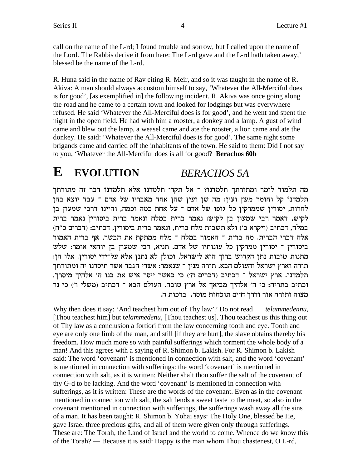call on the name of the L-rd; I found trouble and sorrow, but I called upon the name of the Lord. The Rabbis derive it from here: The L-rd gave and the L-rd hath taken away,' blessed be the name of the L-rd.

R. Huna said in the name of Rav citing R. Meir, and so it was taught in the name of R. Akiva: A man should always accustom himself to say, 'Whatever the All-Merciful does is for good', [as exemplified in] the following incident. R. Akiva was once going along the road and he came to a certain town and looked for lodgings but was everywhere refused. He said 'Whatever the All-Merciful does is for good', and he went and spent the night in the open field. He had with him a rooster, a donkey and a lamp. A gust of wind came and blew out the lamp, a weasel came and ate the rooster, a lion came and ate the donkey. He said: 'Whatever the All-Merciful does is for good'. The same night some brigands came and carried off the inhabitants of the town. He said to them: Did I not say to you, 'Whatever the All-Merciful does is all for good? **Berachos 60b**

### **E EVOLUTION** *BERACHOS 5A*

מה תלמוד לומר ומתורתך תלמדנו? ־ אל תקרי תלמדנו אלא תלמדנו דבר זה מתורתך תלמדנו קל וחומר משן ועין: מה שן ועין שהן אחד מאבריו של אדם <sup>-</sup> עבד יוצא בהן לחרות, יסורין שממרקין כל גופו של אדם ־ על אחת כמה וכמה, והיינו דרבי שמעון בן לקיש, דאמר רבי שמעון בן לקיש: נאמר ברית במלח ונאמר ברית ביסורין נאמר ברית במלח, דכתיב (ויקרא ב') ולא תשבית מלח ברית, ונאמר ברית ביסוריז, דכתיב: (דברים כ"ח) אלה דברי הברית. מה ברית ־ האמור במלח ־ מלח ממתקת את הבשר, אף ברית האמור ביסורין <sup>-</sup> יסורין ממרקין כל עונותיו של אדם. תניא, רבי שמעון בן יוחאי אומר: שלש : מתנות טובות נתן הקדוש ברוך הוא לישראל, וכולן לא נתנן אלא על־ידי יסורין. אלו הן תורה וארץ ישראל והעולם הבא. תורה מנין ־ שנאמר: אשרי הגבר אשר תיסרנו יה ומתורתך , תלמדנו. ארץ ישראל ־ דכתיב (דברים ח') כי כאשר ייסר איש את בנו ה' אלהיך מיסרך וכתיב בתריה: כי ה' אלהיך מביאך אל ארץ טובה. העולם הבא ־ דכתיב (משלי ו') כי נר .<br>מצוה ותורה אור ודרך חיים תוכחות מוסר. ברכות ה

Why then does it say: 'And teachest him out of Thy law'? Do not read *telammedennu*, [Thou teachest him] but t*elammedenu*, [Thou teachest us]. Thou teachest us this thing out of Thy law as a conclusion a fortiori from the law concerning tooth and eye. Tooth and eye are only one limb of the man, and still [if they are hurt], the slave obtains thereby his freedom. How much more so with painful sufferings which torment the whole body of a man! And this agrees with a saying of R. Shimon b. Lakish. For R. Shimon b. Lakish said: The word 'covenant' is mentioned in connection with salt, and the word 'covenant' is mentioned in connection with sufferings: the word 'covenant' is mentioned in connection with salt, as it is written: Neither shalt thou suffer the salt of the covenant of thy G-d to be lacking. And the word 'covenant' is mentioned in connection with sufferings, as it is written: These are the words of the covenant. Even as in the covenant mentioned in connection with salt, the salt lends a sweet taste to the meat, so also in the covenant mentioned in connection with sufferings, the sufferings wash away all the sins of a man. It has been taught: R. Shimon b. Yohai says: The Holy One, blessed be He, gave Israel three precious gifts, and all of them were given only through sufferings. These are: The Torah, the Land of Israel and the world to come. Whence do we know this of the Torah? — Because it is said: Happy is the man whom Thou chastenest, O L-rd,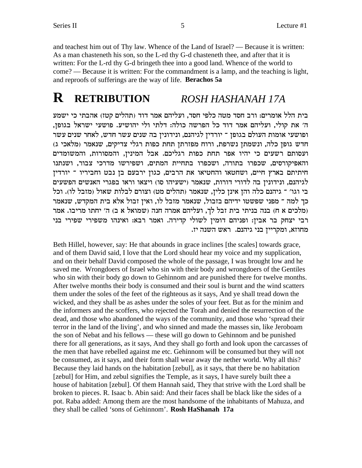and teachest him out of Thy law. Whence of the Land of Israel? — Because it is written: As a man chasteneth his son, so the L-rd thy G-d chasteneth thee, and after that it is written: For the L-rd thy G-d bringeth thee into a good land. Whence of the world to come? — Because it is written: For the commandment is a lamp, and the teaching is light, and reproofs of sufferings are the way of life. **Berachos 5a**

#### **R RETRIBUTION** *ROSH HASHANAH 17A*

בית הלל אומרים: ורב חסד מטה כלפי חסד, ועליהם אמר דוד (תהלים קטז) אהבתי כי ישמע ה' את קולי, ועליהם אמר דוד כל הפרשה כולה: דלתי ולי יהושיע. פושעי ישראל בגופן, ופושעי אומות העולם בגופן ־ יורדין לגיהנם, ונידונין בה שנים עשר חדש, לאחר שנים עשר (מלאכי ג) חדש גופן כלה, ונשמתן נשרפת, ורוח מפזרתן תחת כפות רגלי צדיקים, שנאמר ועסותם רשעים כי יהיו אפר תחת כפות רגליכם. אבל המינין, והמסורות, והמשומדים והאפיקורסים, שכפרו בתורה, ושכפרו בתחיית המתים, ושפירשו מדרכי צבור, ושנתנו חיתיתם בארץ חיים, ושחטאו והחטיאו את הרבים, כגון ירבעם בן נבט וחביריו <sup>-</sup> יורדין לגיהנם, ונידונין בה לדורי דורות, שנאמר (ישעיהו סו) ויצאו וראו בפגרי האנשים הפשעים בי וגו' ־ גיהנם כלה והן אינן כלין, שנאמר (תהלים מט) וצורם לבלות שאול (מזבל לו). וכל כך למה <sup>–</sup> מפני שפשטו ידיהם בזבול, שנאמר מזבל לו, ואין זבול אלא בית המקדש, שנאמר מלכים א ח) בנה בניתי בית זבל לך, ועליהם אמרה חנה (שמואל א ב) ה' יחתו מריבו. אמר רבי יצחק בר אבין: ופניהם דומין לשולי קדירה. ואמר רבא: ואינהו משפירי שפירי בני .<br>מחוזא, ומקריין בני גיהנם. ראש השנה יז

Beth Hillel, however, say: He that abounds in grace inclines [the scales] towards grace, and of them David said, I love that the Lord should hear my voice and my supplication, and on their behalf David composed the whole of the passage, I was brought low and he saved me. Wrongdoers of Israel who sin with their body and wrongdoers of the Gentiles who sin with their body go down to Gehinnom and are punished there for twelve months. After twelve months their body is consumed and their soul is burnt and the wind scatters them under the soles of the feet of the righteous as it says, And ye shall tread down the wicked, and they shall be as ashes under the soles of your feet. But as for the minim and the informers and the scoffers, who rejected the Torah and denied the resurrection of the dead, and those who abandoned the ways of the community, and those who 'spread their terror in the land of the living', and who sinned and made the masses sin, like Jeroboam the son of Nebat and his fellows — these will go down to Gehinnom and be punished there for all generations, as it says, And they shall go forth and look upon the carcasses of the men that have rebelled against me etc. Gehinnom will be consumed but they will not be consumed, as it says, and their form shall wear away the nether world. Why all this? Because they laid hands on the habitation [zebul], as it says, that there be no habitation [zebul] for Him, and zebul signifies the Temple, as it says, I have surely built thee a house of habitation [zebul]. Of them Hannah said, They that strive with the Lord shall be broken to pieces. R. Isaac b. Abin said: And their faces shall be black like the sides of a pot. Raba added: Among them are the most handsome of the inhabitants of Mahuza, and they shall be called 'sons of Gehinnom'. **Rosh HaShanah 17a**